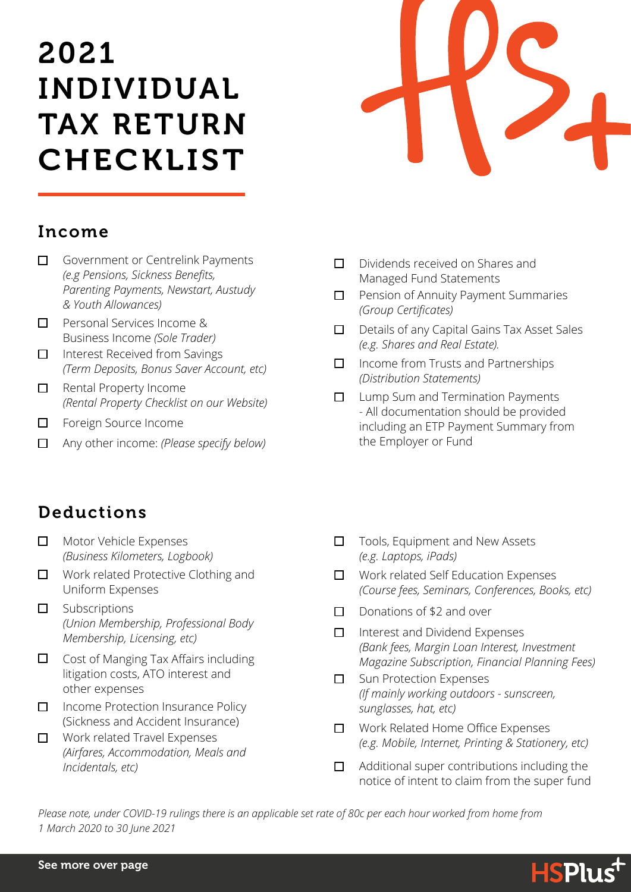# 2021 INDIVIDUAL TAX RETURN CHECKLIST



#### Income

- Government or Centrelink Payments  $\Box$ *(e.g Pensions, Sickness Benefits, Parenting Payments, Newstart, Austudy & Youth Allowances)*
- □ Personal Services Income & Business Income *(Sole Trader)*
- Interest Received from Savings  $\Box$ *(Term Deposits, Bonus Saver Account, etc)*
- $\Box$  Rental Property Income *(Rental Property Checklist on our Website)*
- Foreign Source Income  $\Box$
- $\Box$ Any other income: *(Please specify below)*
- $\Box$ Dividends received on Shares and Managed Fund Statements
- $\Box$ Pension of Annuity Payment Summaries *(Group Certificates)*
- $\Box$ Details of any Capital Gains Tax Asset Sales *(e.g. Shares and Real Estate).*
- $\Box$  Income from Trusts and Partnerships *(Distribution Statements)*
- Lump Sum and Termination Payments  $\Box$ - All documentation should be provided including an ETP Payment Summary from the Employer or Fund

## Deductions

- $\Box$ Motor Vehicle Expenses *(Business Kilometers, Logbook)*
- □ Work related Protective Clothing and Uniform Expenses
- Subscriptions  $\Box$ *(Union Membership, Professional Body Membership, Licensing, etc)*
- Cost of Manging Tax Affairs including  $\Box$ litigation costs, ATO interest and other expenses
- □ Income Protection Insurance Policy (Sickness and Accident Insurance)
- □ Work related Travel Expenses *(Airfares, Accommodation, Meals and Incidentals, etc)*
- $\Box$ Tools, Equipment and New Assets *(e.g. Laptops, iPads)*
- Work related Self Education Expenses  $\Box$ *(Course fees, Seminars, Conferences, Books, etc)*
- Donations of \$2 and over  $\Box$
- $\Box$ Interest and Dividend Expenses *(Bank fees, Margin Loan Interest, Investment Magazine Subscription, Financial Planning Fees)*
- Sun Protection Expenses  $\Box$ *(If mainly working outdoors - sunscreen, sunglasses, hat, etc)*
- Work Related Home Office Expenses  $\Box$ *(e.g. Mobile, Internet, Printing & Stationery, etc)*
- Additional super contributions including the П notice of intent to claim from the super fund

*Please note, under COVID-19 rulings there is an applicable set rate of 80c per each hour worked from home from 1 March 2020 to 30 June 2021*